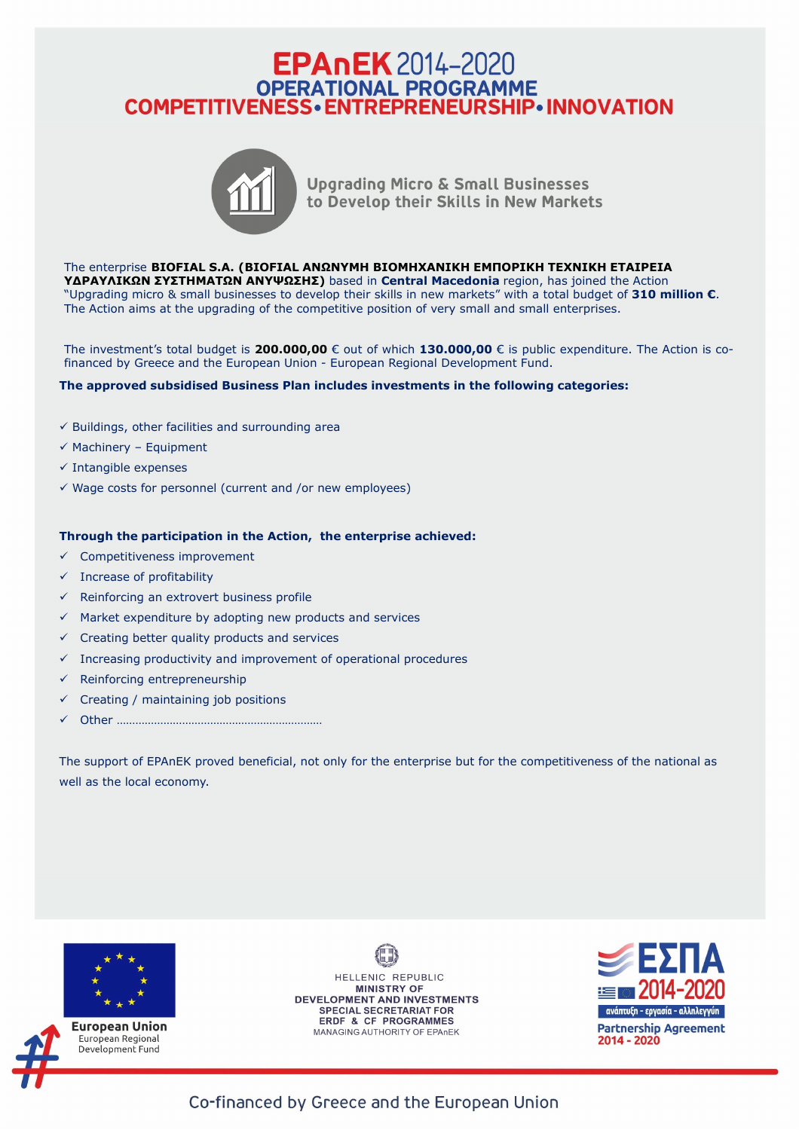## EPANEK 2014-2020<br>
OPERATIONAL PROGRAMME<br>
COMPETITIVENESS • ENTREPRENEURSHIP • INNOVATION



**Upgrading Micro & Small Businesses** to Develop their Skills in New Markets

The enterprise **BIOFIAL S.A. (BIOFIAL ΑΝΩΝΥΜΗ ΒΙΟΜΗΧΑΝΙΚΗ ΕΜΠΟΡΙΚΗ ΤΕΧΝΙΚΗ ΕΤΑΙΡΕΙΑ ΥΔΡΑΥΛΙΚΩΝ ΣΥΣΤΗΜΑΤΩΝ ΑΝΥΨΩΣΗΣ)** based in **Central Macedonia** region, has joined the Action "Upgrading micro & small businesses to develop their skills in new markets" with a total budget of **310 million €**. The Action aims at the upgrading of the competitive position of very small and small enterprises.

The investment's total budget is **200.000,00** € out of which **130.000,00** € is public expenditure. The Action is cofinanced by Greece and the European Union - European Regional Development Fund.

**The approved subsidised Business Plan includes investments in the following categories:**

- $\checkmark$  Buildings, other facilities and surrounding area
- $\checkmark$  Machinery Equipment
- $\checkmark$  Intangible expenses
- $\checkmark$  Wage costs for personnel (current and /or new employees)

## **Through the participation in the Action, the enterprise achieved:**

- Competitiveness improvement
- $\checkmark$  Increase of profitability
- $\checkmark$  Reinforcing an extrovert business profile
- $\checkmark$  Market expenditure by adopting new products and services
- $\checkmark$  Creating better quality products and services
- $\checkmark$  Increasing productivity and improvement of operational procedures
- $\checkmark$  Reinforcing entrepreneurship
- Creating / maintaining job positions
- Other …………………………………………………………

The support of EPAnEK proved beneficial, not only for the enterprise but for the competitiveness of the national as well as the local economy.



HELLENIC REPUBLIC **MINISTRY OF** DEVELOPMENT AND INVESTMENTS SPECIAL SECRETARIAT FOR ERDF & CF PROGRAMMES MANAGING AUTHORITY OF EPAnEK



Co-financed by Greece and the European Union